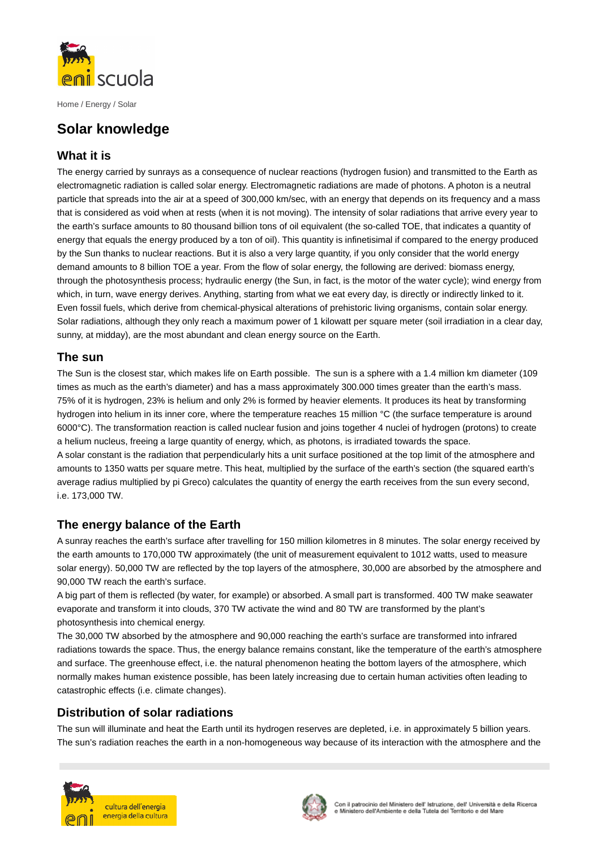

Home / Energy / Solar

# **Solar knowledge**

## **What it is**

The energy carried by sunrays as a consequence of nuclear reactions (hydrogen fusion) and transmitted to the Earth as electromagnetic radiation is called solar energy. Electromagnetic radiations are made of photons. A photon is a neutral particle that spreads into the air at a speed of 300,000 km/sec, with an energy that depends on its frequency and a mass that is considered as void when at rests (when it is not moving). The intensity of solar radiations that arrive every year to the earth's surface amounts to 80 thousand billion tons of oil equivalent (the so-called TOE, that indicates a quantity of energy that equals the energy produced by a ton of oil). This quantity is infinetisimal if compared to the energy produced by the Sun thanks to nuclear reactions. But it is also a very large quantity, if you only consider that the world energy demand amounts to 8 billion TOE a year. From the flow of solar energy, the following are derived: biomass energy, through the photosynthesis process; hydraulic energy (the Sun, in fact, is the motor of the water cycle); wind energy from which, in turn, wave energy derives. Anything, starting from what we eat every day, is directly or indirectly linked to it. Even fossil fuels, which derive from chemical-physical alterations of prehistoric living organisms, contain solar energy. Solar radiations, although they only reach a maximum power of 1 kilowatt per square meter (soil irradiation in a clear day, sunny, at midday), are the most abundant and clean energy source on the Earth.

#### **The sun**

The Sun is the closest star, which makes life on Earth possible. The sun is a sphere with a 1.4 million km diameter (109 times as much as the earth's diameter) and has a mass approximately 300.000 times greater than the earth's mass. 75% of it is hydrogen, 23% is helium and only 2% is formed by heavier elements. It produces its heat by transforming hydrogen into helium in its inner core, where the temperature reaches 15 million °C (the surface temperature is around 6000°C). The transformation reaction is called nuclear fusion and joins together 4 nuclei of hydrogen (protons) to create a helium nucleus, freeing a large quantity of energy, which, as photons, is irradiated towards the space. A solar constant is the radiation that perpendicularly hits a unit surface positioned at the top limit of the atmosphere and amounts to 1350 watts per square metre. This heat, multiplied by the surface of the earth's section (the squared earth's average radius multiplied by pi Greco) calculates the quantity of energy the earth receives from the sun every second, i.e. 173,000 TW.

# **The energy balance of the Earth**

A sunray reaches the earth's surface after travelling for 150 million kilometres in 8 minutes. The solar energy received by the earth amounts to 170,000 TW approximately (the unit of measurement equivalent to 1012 watts, used to measure solar energy). 50,000 TW are reflected by the top layers of the atmosphere, 30,000 are absorbed by the atmosphere and 90,000 TW reach the earth's surface.

A big part of them is reflected (by water, for example) or absorbed. A small part is transformed. 400 TW make seawater evaporate and transform it into clouds, 370 TW activate the wind and 80 TW are transformed by the plant's photosynthesis into chemical energy.

The 30,000 TW absorbed by the atmosphere and 90,000 reaching the earth's surface are transformed into infrared radiations towards the space. Thus, the energy balance remains constant, like the temperature of the earth's atmosphere and surface. The greenhouse effect, i.e. the natural phenomenon heating the bottom layers of the atmosphere, which normally makes human existence possible, has been lately increasing due to certain human activities often leading to catastrophic effects (i.e. climate changes).

# **Distribution of solar radiations**

The sun will illuminate and heat the Earth until its hydrogen reserves are depleted, i.e. in approximately 5 billion years. The sun's radiation reaches the earth in a non-homogeneous way because of its interaction with the atmosphere and the



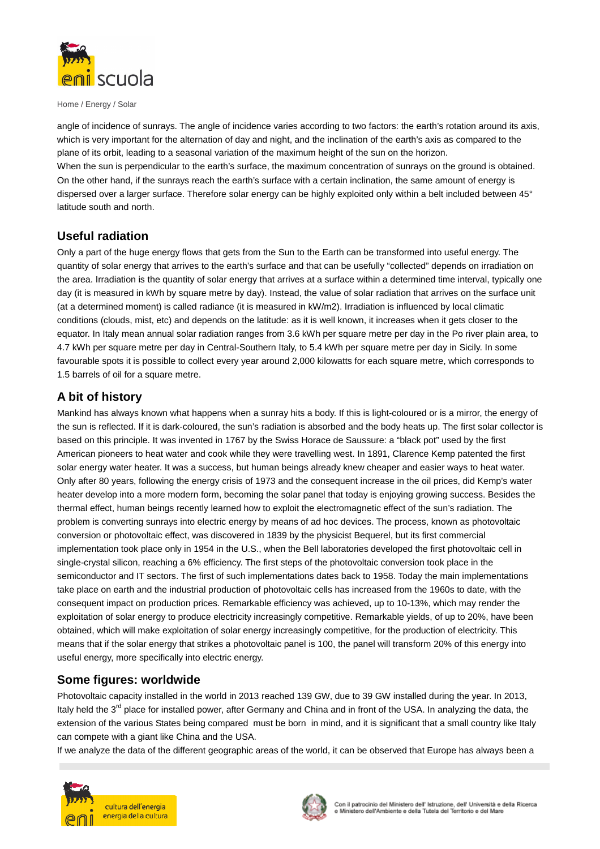

Home / Energy / Solar

angle of incidence of sunrays. The angle of incidence varies according to two factors: the earth's rotation around its axis, which is very important for the alternation of day and night, and the inclination of the earth's axis as compared to the plane of its orbit, leading to a seasonal variation of the maximum height of the sun on the horizon. When the sun is perpendicular to the earth's surface, the maximum concentration of sunrays on the ground is obtained. On the other hand, if the sunrays reach the earth's surface with a certain inclination, the same amount of energy is dispersed over a larger surface. Therefore solar energy can be highly exploited only within a belt included between 45° latitude south and north.

## **Useful radiation**

Only a part of the huge energy flows that gets from the Sun to the Earth can be transformed into useful energy. The quantity of solar energy that arrives to the earth's surface and that can be usefully "collected" depends on irradiation on the area. Irradiation is the quantity of solar energy that arrives at a surface within a determined time interval, typically one day (it is measured in kWh by square metre by day). Instead, the value of solar radiation that arrives on the surface unit (at a determined moment) is called radiance (it is measured in kW/m2). Irradiation is influenced by local climatic conditions (clouds, mist, etc) and depends on the latitude: as it is well known, it increases when it gets closer to the equator. In Italy mean annual solar radiation ranges from 3.6 kWh per square metre per day in the Po river plain area, to 4.7 kWh per square metre per day in Central-Southern Italy, to 5.4 kWh per square metre per day in Sicily. In some favourable spots it is possible to collect every year around 2,000 kilowatts for each square metre, which corresponds to 1.5 barrels of oil for a square metre.

## **A bit of history**

Mankind has always known what happens when a sunray hits a body. If this is light-coloured or is a mirror, the energy of the sun is reflected. If it is dark-coloured, the sun's radiation is absorbed and the body heats up. The first solar collector is based on this principle. It was invented in 1767 by the Swiss Horace de Saussure: a "black pot" used by the first American pioneers to heat water and cook while they were travelling west. In 1891, Clarence Kemp patented the first solar energy water heater. It was a success, but human beings already knew cheaper and easier ways to heat water. Only after 80 years, following the energy crisis of 1973 and the consequent increase in the oil prices, did Kemp's water heater develop into a more modern form, becoming the solar panel that today is enjoying growing success. Besides the thermal effect, human beings recently learned how to exploit the electromagnetic effect of the sun's radiation. The problem is converting sunrays into electric energy by means of ad hoc devices. The process, known as photovoltaic conversion or photovoltaic effect, was discovered in 1839 by the physicist Bequerel, but its first commercial implementation took place only in 1954 in the U.S., when the Bell laboratories developed the first photovoltaic cell in single-crystal silicon, reaching a 6% efficiency. The first steps of the photovoltaic conversion took place in the semiconductor and IT sectors. The first of such implementations dates back to 1958. Today the main implementations take place on earth and the industrial production of photovoltaic cells has increased from the 1960s to date, with the consequent impact on production prices. Remarkable efficiency was achieved, up to 10-13%, which may render the exploitation of solar energy to produce electricity increasingly competitive. Remarkable yields, of up to 20%, have been obtained, which will make exploitation of solar energy increasingly competitive, for the production of electricity. This means that if the solar energy that strikes a photovoltaic panel is 100, the panel will transform 20% of this energy into useful energy, more specifically into electric energy.

#### **Some figures: worldwide**

Photovoltaic capacity installed in the world in 2013 reached 139 GW, due to 39 GW installed during the year. In 2013, Italy held the 3<sup>rd</sup> place for installed power, after Germany and China and in front of the USA. In analyzing the data, the extension of the various States being compared must be born in mind, and it is significant that a small country like Italy can compete with a giant like China and the USA.

If we analyze the data of the different geographic areas of the world, it can be observed that Europe has always been a